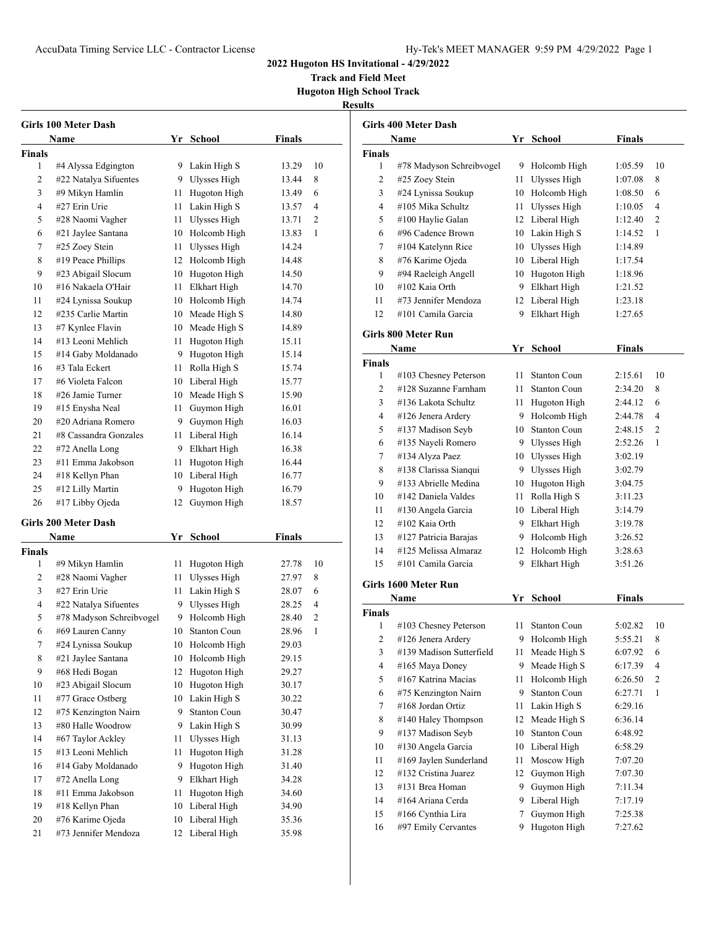**Track and Field Meet Hugoton High School Track**

|               | Girls 100 Meter Dash                |          |                              |                |              |
|---------------|-------------------------------------|----------|------------------------------|----------------|--------------|
|               | Name                                |          | Yr School                    | Finals         |              |
| Finals        |                                     |          |                              |                |              |
| 1             | #4 Alyssa Edgington                 |          | 9 Lakin High S               | 13.29          | 10           |
| 2             | #22 Natalya Sifuentes               |          | 9 Ulysses High               | 13.44          | 8            |
| 3             | #9 Mikyn Hamlin                     |          | 11 Hugoton High              | 13.49          | 6            |
| 4             | #27 Erin Urie                       |          | 11 Lakin High S              | 13.57          | 4            |
| 5             | #28 Naomi Vagher                    | 11       | Ulysses High                 | 13.71          | 2            |
| 6             | #21 Jaylee Santana                  |          | 10 Holcomb High              | 13.83          | 1            |
| 7             | #25 Zoey Stein                      |          | 11 Ulysses High              | 14.24          |              |
| 8             | #19 Peace Phillips                  |          | 12 Holcomb High              | 14.48          |              |
| 9             | #23 Abigail Slocum                  |          | 10 Hugoton High              | 14.50          |              |
| 10            | #16 Nakaela O'Hair                  | 11       | <b>Elkhart High</b>          | 14.70          |              |
| 11            | #24 Lynissa Soukup                  |          | 10 Holcomb High              | 14.74          |              |
| 12            | #235 Carlie Martin                  |          | 10 Meade High S              | 14.80          |              |
| 13            | #7 Kynlee Flavin                    |          | 10 Meade High S              | 14.89          |              |
| 14            | #13 Leoni Mehlich                   |          | 11 Hugoton High              | 15.11          |              |
| 15            | #14 Gaby Moldanado                  |          | 9 Hugoton High               | 15.14          |              |
| 16            | #3 Tala Eckert                      |          | 11 Rolla High S              | 15.74          |              |
| 17            | #6 Violeta Falcon                   |          | 10 Liberal High              | 15.77          |              |
| 18            | #26 Jamie Turner                    |          | 10 Meade High S              | 15.90          |              |
| 19            | #15 Enysha Neal                     | 11       | Guymon High                  | 16.01          |              |
| 20            | #20 Adriana Romero                  |          | 9 Guymon High                | 16.03          |              |
| 21            | #8 Cassandra Gonzales               |          | 11 Liberal High              | 16.14          |              |
| 22            | #72 Anella Long                     |          | 9 Elkhart High               | 16.38          |              |
| 23            | #11 Emma Jakobson                   | 11       | Hugoton High                 | 16.44          |              |
| 24            | #18 Kellyn Phan                     |          | 10 Liberal High              | 16.77          |              |
| 25            | #12 Lilly Martin                    | 9        | Hugoton High                 | 16.79          |              |
| 26            | #17 Libby Ojeda                     | 12       | Guymon High                  | 18.57          |              |
|               | Girls 200 Meter Dash                |          |                              |                |              |
|               | Name                                | Yr       | <b>School</b>                | <b>Finals</b>  |              |
| <b>Finals</b> |                                     |          |                              |                |              |
| 1             | #9 Mikyn Hamlin                     | 11       | Hugoton High                 | 27.78          | 10           |
| 2             | #28 Naomi Vagher                    | 11       | Ulysses High                 | 27.97          | 8            |
| 3             | #27 Erin Urie                       | 11       | Lakin High S                 | 28.07          | 6            |
| 4             | #22 Natalya Sifuentes               | 9.       | Ulysses High                 | 28.25          | 4            |
| 5             | #78 Madyson Schreibvogel            | 9.       | Holcomb High                 | 28.40          | 2            |
| 6             | #69 Lauren Canny                    | 10       | <b>Stanton Coun</b>          | 28.96          | $\mathbf{1}$ |
| 7             | #24 Lynissa Soukup                  | 10       | Holcomb High                 | 29.03          |              |
| 8             | #21 Jaylee Santana                  | 10       | Holcomb High                 | 29.15          |              |
| 9             | #68 Hedi Bogan                      | 12       | Hugoton High                 | 29.27          |              |
| 10            | #23 Abigail Slocum                  | 10       | Hugoton High                 | 30.17          |              |
| 11            | #77 Grace Ostberg                   | 10       | Lakin High S                 | 30.22          |              |
| 12            | #75 Kenzington Nairn                | 9        | <b>Stanton Coun</b>          | 30.47          |              |
| 13            | #80 Halle Woodrow                   | 9        | Lakin High S                 | 30.99          |              |
| 14            | #67 Taylor Ackley                   | 11       | Ulysses High                 | 31.13          |              |
| 15            | #13 Leoni Mehlich                   |          | Hugoton High                 | 31.28          |              |
| 16            | #14 Gaby Moldanado                  | 11<br>9  | Hugoton High                 | 31.40          |              |
|               | #72 Anella Long                     | 9        | Elkhart High                 |                |              |
| 17<br>18      | #11 Emma Jakobson                   |          | Hugoton High                 | 34.28<br>34.60 |              |
| 19            |                                     | 11       |                              |                |              |
| 20            | #18 Kellyn Phan<br>#76 Karime Ojeda | 10       | Liberal High                 | 34.90          |              |
| 21            | #73 Jennifer Mendoza                | 10<br>12 | Liberal High<br>Liberal High | 35.36<br>35.98 |              |
|               |                                     |          |                              |                |              |

|                         | Girls 400 Meter Dash     |    |                     |               |                |
|-------------------------|--------------------------|----|---------------------|---------------|----------------|
|                         | Name                     |    | Yr School           | Finals        |                |
| <b>Finals</b>           |                          |    |                     |               |                |
| 1                       | #78 Madyson Schreibvogel |    | 9 Holcomb High      | 1:05.59       | 10             |
| 2                       | #25 Zoey Stein           |    | 11 Ulysses High     | 1:07.08       | 8              |
| 3                       | #24 Lynissa Soukup       |    | 10 Holcomb High     | 1:08.50       | 6              |
| 4                       | #105 Mika Schultz        | 11 | Ulysses High        | 1:10.05       | 4              |
| 5                       | #100 Haylie Galan        |    | 12 Liberal High     | 1:12.40       | 2              |
| 6                       | #96 Cadence Brown        |    | 10 Lakin High S     | 1:14.52       | 1              |
| 7                       | #104 Katelynn Rice       |    | 10 Ulysses High     | 1:14.89       |                |
| 8                       | #76 Karime Ojeda         |    | 10 Liberal High     | 1:17.54       |                |
| 9                       | #94 Raeleigh Angell      |    | 10 Hugoton High     | 1:18.96       |                |
| 10                      | #102 Kaia Orth           |    | 9 Elkhart High      | 1:21.52       |                |
| 11                      | #73 Jennifer Mendoza     |    | 12 Liberal High     | 1:23.18       |                |
| 12                      | #101 Camila Garcia       | 9  | Elkhart High        | 1:27.65       |                |
|                         | Girls 800 Meter Run      |    |                     |               |                |
|                         | Name                     | Yr | School              | <b>Finals</b> |                |
| <b>Finals</b>           |                          |    |                     |               |                |
| 1                       | #103 Chesney Peterson    |    | 11 Stanton Coun     | 2:15.61       | 10             |
| 2                       | #128 Suzanne Farnham     |    | 11 Stanton Coun     | 2:34.20       | 8              |
| 3                       | #136 Lakota Schultz      |    | 11 Hugoton High     | 2:44.12       | 6              |
| 4                       | #126 Jenera Ardery       |    | 9 Holcomb High      | 2:44.78       | 4              |
| 5                       | #137 Madison Seyb        |    | 10 Stanton Coun     | 2:48.15       | 2              |
| 6                       | #135 Nayeli Romero       |    | 9 Ulysses High      | 2:52.26       | 1              |
| 7                       | #134 Alyza Paez          |    | 10 Ulysses High     | 3:02.19       |                |
| 8                       | #138 Clarissa Sianqui    |    | 9 Ulysses High      | 3:02.79       |                |
| 9                       | #133 Abrielle Medina     |    | 10 Hugoton High     | 3:04.75       |                |
| 10                      | #142 Daniela Valdes      |    | 11 Rolla High S     | 3:11.23       |                |
| 11                      | #130 Angela Garcia       |    | 10 Liberal High     | 3:14.79       |                |
| 12                      | #102 Kaia Orth           |    | 9 Elkhart High      | 3:19.78       |                |
| 13                      | #127 Patricia Barajas    |    | 9 Holcomb High      | 3:26.52       |                |
| 14                      | #125 Melissa Almaraz     |    | 12 Holcomb High     | 3:28.63       |                |
| 15                      | #101 Camila Garcia       | 9  | Elkhart High        | 3:51.26       |                |
|                         | Girls 1600 Meter Run     |    |                     |               |                |
|                         | Name                     | Yr | <b>School</b>       | <b>Finals</b> |                |
| <b>Finals</b>           |                          |    |                     |               |                |
| 1                       | #103 Chesney Peterson    | 11 | <b>Stanton Coun</b> | 5:02.82       | 10             |
| $\overline{\mathbf{c}}$ | #126 Jenera Ardery       | 9  | Holcomb High        | 5:55.21       | 8              |
| 3                       | #139 Madison Sutterfield | 11 | Meade High S        | 6:07.92       | 6              |
| 4                       | #165 Maya Doney          | 9  | Meade High S        | 6:17.39       | 4              |
| 5                       | #167 Katrina Macias      | 11 | Holcomb High        | 6:26.50       | $\overline{c}$ |
| 6                       | #75 Kenzington Nairn     | 9  | <b>Stanton Coun</b> | 6:27.71       | 1              |
| 7                       | #168 Jordan Ortiz        | 11 | Lakin High S        | 6:29.16       |                |
| 8                       | #140 Haley Thompson      | 12 | Meade High S        | 6:36.14       |                |
| 9                       | #137 Madison Seyb        | 10 | <b>Stanton Coun</b> | 6:48.92       |                |
| 10                      | #130 Angela Garcia       | 10 | Liberal High        | 6:58.29       |                |
| 11                      | #169 Jaylen Sunderland   | 11 | Moscow High         | 7:07.20       |                |
| 12                      | #132 Cristina Juarez     | 12 | Guymon High         | 7:07.30       |                |
| 13                      | #131 Brea Homan          | 9  | Guymon High         | 7:11.34       |                |
| 14                      | #164 Ariana Cerda        | 9  | Liberal High        | 7:17.19       |                |
| 15                      | #166 Cynthia Lira        | 7  | Guymon High         | 7:25.38       |                |
| 16                      | #97 Emily Cervantes      | 9  | Hugoton High        | 7:27.62       |                |
|                         |                          |    |                     |               |                |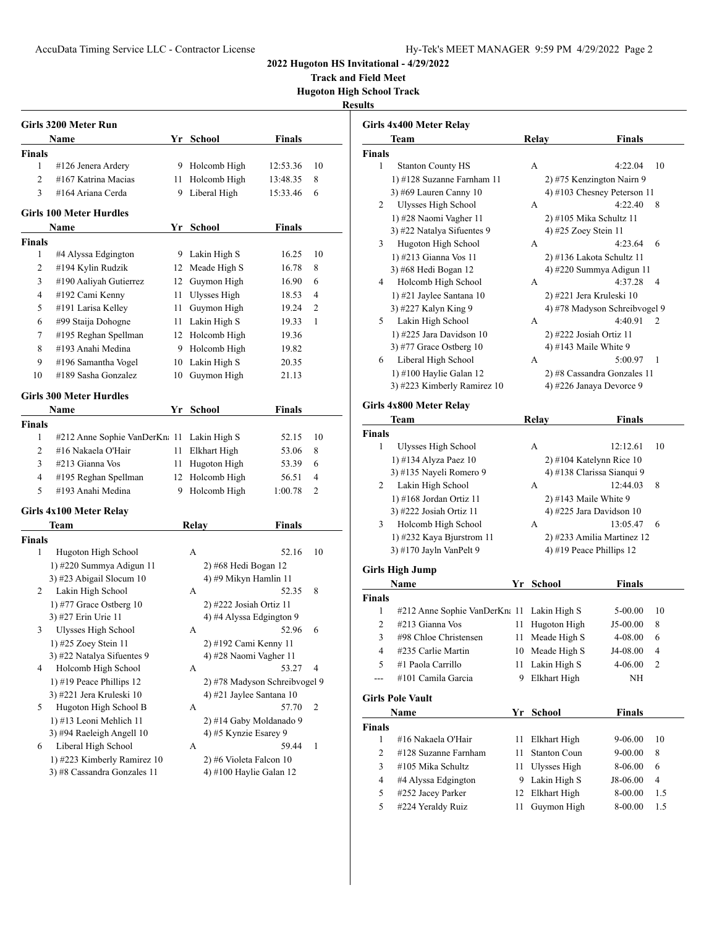**Track and Field Meet Hugoton High School Track**

|                    | Girls 3200 Meter Run                               |          |                                                     |               |     |
|--------------------|----------------------------------------------------|----------|-----------------------------------------------------|---------------|-----|
|                    | Name                                               | Yr       | School                                              | <b>Finals</b> |     |
| Finals             |                                                    |          |                                                     |               |     |
| 1                  | #126 Jenera Ardery                                 |          | 9 Holcomb High                                      | 12:53.36      | 10  |
| $\overline{c}$     | #167 Katrina Macias                                | 11 -     | Holcomb High                                        | 13:48.35      | 8   |
| 3                  | #164 Ariana Cerda                                  | 9        | Liberal High                                        | 15:33.46      | 6   |
|                    | <b>Girls 100 Meter Hurdles</b>                     |          |                                                     |               |     |
|                    | Name                                               |          | Yr School                                           | <b>Finals</b> |     |
| <b>Finals</b>      |                                                    |          |                                                     |               |     |
| 1                  | #4 Alyssa Edgington                                | 9        | Lakin High S                                        | 16.25         | 10  |
| 2                  | #194 Kylin Rudzik                                  | 12       | Meade High S                                        | 16.78         | 8   |
| 3                  | #190 Aaliyah Gutierrez                             | 12       | Guymon High                                         | 16.90         | 6   |
| 4                  | #192 Cami Kenny                                    | 11       | Ulysses High                                        | 18.53         | 4   |
| 5                  | #191 Larisa Kelley                                 | 11       | Guymon High                                         | 19.24         | 2   |
| 6                  | #99 Staija Dohogne                                 | 11       | Lakin High S                                        | 19.33         | 1   |
| 7                  | #195 Reghan Spellman                               |          | 12 Holcomb High                                     | 19.36         |     |
| 8                  | #193 Anahi Medina                                  | 9        | Holcomb High                                        | 19.82         |     |
| 9                  | #196 Samantha Vogel                                | 10       | Lakin High S                                        | 20.35         |     |
| 10                 | #189 Sasha Gonzalez                                | 10       | Guymon High                                         | 21.13         |     |
|                    | <b>Girls 300 Meter Hurdles</b>                     |          |                                                     |               |     |
|                    | Name                                               | $Yr_{-}$ | School                                              | <b>Finals</b> |     |
| <b>Finals</b>      |                                                    |          |                                                     |               |     |
| 1                  | #212 Anne Sophie VanDerKn: 11                      |          | Lakin High S                                        | 52.15         | 10  |
| 2                  | #16 Nakaela O'Hair                                 | 11       | Elkhart High                                        | 53.06         | 8   |
| 3                  | #213 Gianna Vos                                    | 11       | Hugoton High                                        | 53.39         | 6   |
| 4                  | #195 Reghan Spellman                               | 12       | Holcomb High                                        | 56.51         | 4   |
| 5                  | #193 Anahi Medina                                  | 9        | Holcomb High                                        | 1:00.78       | 2   |
|                    |                                                    |          |                                                     |               |     |
|                    | Girls 4x100 Meter Relay                            |          |                                                     | <b>Finals</b> |     |
|                    | Team                                               |          | <b>Relay</b>                                        |               |     |
| <b>Finals</b><br>1 | Hugoton High School                                |          | А                                                   | 52.16         | 10  |
|                    | 1) #220 Summya Adigun 11                           |          | 2) #68 Hedi Bogan 12                                |               |     |
|                    | 3) #23 Abigail Slocum 10                           |          | 4) #9 Mikyn Hamlin 11                               |               |     |
| 2                  | Lakin High School                                  |          | А                                                   | 52.35         | 8   |
|                    |                                                    |          |                                                     |               |     |
|                    | 1) #77 Grace Ostberg $10$<br>3) #27 Erin Urie 11   |          | 2) #222 Josiah Ortiz 11<br>4) #4 Alyssa Edgington 9 |               |     |
| 3                  | Ulysses High School                                |          | А                                                   | 52.96         | - 6 |
|                    |                                                    |          |                                                     |               |     |
|                    | 1) #25 Zoey Stein 11<br>3) #22 Natalya Sifuentes 9 |          | 2) #192 Cami Kenny 11                               |               |     |
|                    |                                                    |          | 4) #28 Naomi Vagher 11                              | 53.27         | 4   |
| 4                  | Holcomb High School                                |          | А                                                   |               |     |
|                    | 1) #19 Peace Phillips 12                           |          | 2) #78 Madyson Schreibvogel 9                       |               |     |
|                    | 3) #221 Jera Kruleski 10                           |          | 4) #21 Jaylee Santana 10                            |               |     |
| 5                  | Hugoton High School B                              |          | А                                                   | 57.70         | 2   |
|                    | 1) #13 Leoni Mehlich 11                            |          | 2) #14 Gaby Moldanado 9                             |               |     |
|                    | 3) #94 Raeleigh Angell 10                          |          | 4) #5 Kynzie Esarey 9                               |               |     |
|                    |                                                    |          | А                                                   | 59.44         | 1   |
| 6                  | Liberal High School<br>1) #223 Kimberly Ramirez 10 |          | 2) #6 Violeta Falcon 10                             |               |     |

|                | Girls 4x400 Meter Relay       |    |                     |                            |                               |     |
|----------------|-------------------------------|----|---------------------|----------------------------|-------------------------------|-----|
|                | Team                          |    | Relay               |                            | <b>Finals</b>                 |     |
| <b>Finals</b>  |                               |    |                     |                            |                               |     |
| 1              | <b>Stanton County HS</b>      |    | А                   |                            | 4:22.04                       | 10  |
|                | 1) #128 Suzanne Farnham 11    |    |                     | 2) #75 Kenzington Nairn 9  |                               |     |
|                | 3) #69 Lauren Canny 10        |    |                     |                            | 4) #103 Chesney Peterson 11   |     |
| 2              | <b>Ulysses High School</b>    |    | А                   |                            | 4:22.40                       | 8   |
|                | 1) #28 Naomi Vagher 11        |    |                     | 2) #105 Mika Schultz 11    |                               |     |
|                | 3) #22 Natalya Sifuentes 9    |    |                     | 4) #25 Zoey Stein 11       |                               |     |
| 3              | Hugoton High School           |    | А                   |                            | 4:23.64                       | 6   |
|                | 1) #213 Gianna Vos 11         |    |                     | 2) #136 Lakota Schultz 11  |                               |     |
|                | 3) #68 Hedi Bogan 12          |    |                     | 4) #220 Summya Adigun 11   |                               |     |
| 4              | Holcomb High School           |    | А                   |                            | 4:37.28                       | 4   |
|                | 1) #21 Jaylee Santana 10      |    |                     | 2) #221 Jera Kruleski 10   |                               |     |
|                | 3) #227 Kalyn King 9          |    |                     |                            | 4) #78 Madyson Schreibvogel 9 |     |
| 5              | Lakin High School             |    | А                   |                            | 4:40.91                       | 2   |
|                | 1) #225 Jara Davidson 10      |    |                     | 2) #222 Josiah Ortiz 11    |                               |     |
|                | 3) #77 Grace Ostberg $10$     |    |                     | 4) #143 Maile White 9      |                               |     |
| 6              | Liberal High School           |    | А                   |                            | 5:00.97                       | 1   |
|                | 1) #100 Haylie Galan 12       |    |                     |                            | 2) #8 Cassandra Gonzales 11   |     |
|                | 3) #223 Kimberly Ramirez 10   |    |                     | 4) #226 Janaya Devorce 9   |                               |     |
|                |                               |    |                     |                            |                               |     |
|                | Girls 4x800 Meter Relay       |    |                     |                            |                               |     |
|                | Team                          |    | Relay               |                            | Finals                        |     |
| <b>Finals</b>  |                               |    |                     |                            |                               |     |
| 1              | Ulysses High School           |    | А                   |                            | 12:12.61                      | 10  |
|                | 1) #134 Alyza Paez 10         |    |                     | 2) #104 Katelynn Rice 10   |                               |     |
|                | 3) #135 Nayeli Romero 9       |    |                     | 4) #138 Clarissa Sianqui 9 |                               |     |
| 2              | Lakin High School             |    | А                   |                            | 12:44.03                      | 8   |
|                | 1) #168 Jordan Ortiz 11       |    |                     | 2) #143 Maile White 9      |                               |     |
|                | 3) #222 Josiah Ortiz 11       |    |                     | 4) #225 Jara Davidson 10   |                               |     |
| 3              | Holcomb High School           |    | А                   |                            | 13:05.47                      | 6   |
|                | 1) #232 Kaya Bjurstrom 11     |    |                     | 2) #233 Amilia Martinez 12 |                               |     |
|                | 3) #170 Jayln VanPelt 9       |    |                     | 4) #19 Peace Phillips 12   |                               |     |
|                | <b>Girls High Jump</b>        |    |                     |                            |                               |     |
|                | Name                          |    | Yr School           |                            | <b>Finals</b>                 |     |
| Finals         |                               |    |                     |                            |                               |     |
| 1              | #212 Anne Sophie VanDerKn: 11 |    | Lakin High S        |                            | 5-00.00                       | 10  |
| $\overline{c}$ | #213 Gianna Vos               | 11 | Hugoton High        |                            | $J5-00.00$                    | 8   |
| 3              | #98 Chloe Christensen         | 11 | Meade High S        |                            | 4-08.00                       | 6   |
| 4              | #235 Carlie Martin            | 10 | Meade High S        |                            | J4-08.00                      | 4   |
| 5              | #1 Paola Carrillo             | 11 | Lakin High S        |                            | 4-06.00                       | 2   |
|                | #101 Camila Garcia            | 9  | Elkhart High        |                            | NΗ                            |     |
|                |                               |    |                     |                            |                               |     |
|                | <b>Girls Pole Vault</b>       |    |                     |                            |                               |     |
|                | Name                          | Yr | School              |                            | <b>Finals</b>                 |     |
| Finals         |                               |    |                     |                            |                               |     |
| 1              | #16 Nakaela O'Hair            | 11 | Elkhart High        |                            | 9-06.00                       | 10  |
| 2              | #128 Suzanne Farnham          | 11 | <b>Stanton Coun</b> |                            | 9-00.00                       | 8   |
| 3              | #105 Mika Schultz             | 11 | Ulysses High        |                            | 8-06.00                       | 6   |
| 4              | #4 Alyssa Edgington           | 9  | Lakin High S        |                            | J8-06.00                      | 4   |
| 5              | #252 Jacey Parker             | 12 | Elkhart High        |                            | 8-00.00                       | 1.5 |
| 5              | #224 Yeraldy Ruiz             | 11 | Guymon High         |                            | 8-00.00                       | 1.5 |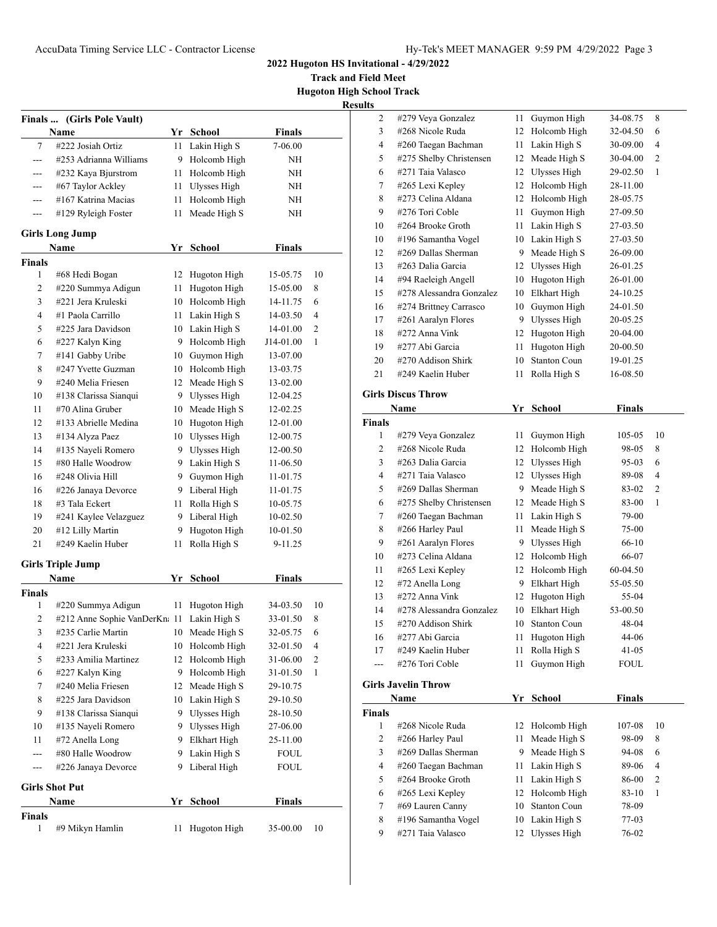**Track and Field Meet Hugoton High School Track**

|                         |                                  |      |                     |               | <b>Results</b>          |
|-------------------------|----------------------------------|------|---------------------|---------------|-------------------------|
|                         | Finals  (Girls Pole Vault)       |      |                     |               |                         |
|                         | Name                             |      | Yr School           | <b>Finals</b> |                         |
| 7                       | #222 Josiah Ortiz                |      | 11 Lakin High S     | 7-06.00       |                         |
| ---                     | #253 Adrianna Williams           |      | 9 Holcomb High      | ΝH            |                         |
| ---                     | #232 Kaya Bjurstrom              | 11 - | Holcomb High        | ΝH            |                         |
| ---                     | #67 Taylor Ackley                | 11 - | Ulysses High        | ΝH            |                         |
| $---$                   | #167 Katrina Macias              | 11   | Holcomb High        | ΝH            |                         |
| ---                     | #129 Ryleigh Foster              | 11   | Meade High S        | NΗ            |                         |
|                         | <b>Girls Long Jump</b>           |      |                     |               |                         |
|                         | Name                             | Yr   | <b>School</b>       | <b>Finals</b> |                         |
| <b>Finals</b>           |                                  |      |                     |               |                         |
| 1                       | #68 Hedi Bogan                   |      | 12 Hugoton High     | 15-05.75      | 10                      |
| 2                       | #220 Summya Adigun               | 11   | Hugoton High        | 15-05.00      | 8                       |
| $\overline{3}$          | #221 Jera Kruleski               | 10   | Holcomb High        | 14-11.75      | 6                       |
| $\overline{4}$          | #1 Paola Carrillo                |      | 11 Lakin High S     | 14-03.50      | 4                       |
| 5                       | #225 Jara Davidson               |      | 10 Lakin High S     | 14-01.00      | 2                       |
| 6                       | #227 Kalyn King                  |      | 9 Holcomb High      | J14-01.00     | 1                       |
| 7                       | #141 Gabby Uribe                 |      | 10 Guymon High      | 13-07.00      |                         |
| 8                       | #247 Yvette Guzman               |      | 10 Holcomb High     | 13-03.75      |                         |
| 9                       | #240 Melia Friesen               |      | 12 Meade High S     | 13-02.00      |                         |
| 10                      | #138 Clarissa Sianqui            |      | 9 Ulysses High      | 12-04.25      |                         |
| 11                      | #70 Alina Gruber                 |      | 10 Meade High S     | 12-02.25      |                         |
| 12                      | #133 Abrielle Medina             |      | 10 Hugoton High     | 12-01.00      |                         |
| 13                      | #134 Alyza Paez                  |      | 10 Ulysses High     | 12-00.75      |                         |
| 14                      | #135 Nayeli Romero               |      | 9 Ulysses High      | 12-00.50      |                         |
| 15                      | #80 Halle Woodrow                |      | 9 Lakin High S      | 11-06.50      |                         |
| 16                      | #248 Olivia Hill                 |      | 9 Guymon High       | 11-01.75      |                         |
| 16                      | #226 Janaya Devorce              |      | 9 Liberal High      | 11-01.75      |                         |
| 18                      | #3 Tala Eckert                   | 11   | Rolla High S        | 10-05.75      |                         |
| 19                      | #241 Kaylee Velazguez            |      | 9 Liberal High      | 10-02.50      |                         |
| 20                      | #12 Lilly Martin                 |      | 9 Hugoton High      | 10-01.50      |                         |
| 21                      | #249 Kaelin Huber                | 11   | Rolla High S        | 9-11.25       |                         |
|                         |                                  |      |                     |               |                         |
|                         | <b>Girls Triple Jump</b><br>Name |      | Yr School           | <b>Finals</b> |                         |
| <b>Finals</b>           |                                  |      |                     |               |                         |
| 1                       | #220 Summya Adigun               | 11   | Hugoton High        | 34-03.50      | 10                      |
| $\overline{\mathbf{c}}$ | #212 Anne Sophie VanDerKn: 11    |      | Lakin High S        | 33-01.50      | 8                       |
| 3                       | #235 Carlie Martin               |      | 10 Meade High S     | 32-05.75      | 6                       |
| 4                       | #221 Jera Kruleski               | 10   | Holcomb High        | 32-01.50      | 4                       |
| 5                       | #233 Amilia Martinez             | 12   | Holcomb High        | 31-06.00      | $\overline{\mathbf{c}}$ |
| 6                       | #227 Kalyn King                  |      | 9 Holcomb High      | 31-01.50      | 1                       |
| $\tau$                  | #240 Melia Friesen               |      | 12 Meade High S     | 29-10.75      |                         |
| 8                       | #225 Jara Davidson               |      | 10 Lakin High S     | 29-10.50      |                         |
| 9                       | #138 Clarissa Sianqui            |      | 9 Ulysses High      | 28-10.50      |                         |
| 10                      | #135 Nayeli Romero               | 9.   | <b>Ulysses High</b> | 27-06.00      |                         |
| 11                      | #72 Anella Long                  | 9.   | Elkhart High        | 25-11.00      |                         |
| ---                     | #80 Halle Woodrow                | 9.   | Lakin High S        | <b>FOUL</b>   |                         |
| ---                     | #226 Janaya Devorce              |      | 9 Liberal High      | <b>FOUL</b>   |                         |
|                         |                                  |      |                     |               |                         |
|                         | <b>Girls Shot Put</b><br>Name    |      | Yr School           | <b>Finals</b> |                         |
| Finals                  |                                  |      |                     |               |                         |
| 1                       | #9 Mikyn Hamlin                  | 11   | Hugoton High        | 35-00.00      | 10                      |
|                         |                                  |      |                     |               |                         |

| 2              | #279 Veya Gonzalez         | 11   | Guymon High         | 34-08.75      | 8            |
|----------------|----------------------------|------|---------------------|---------------|--------------|
| 3              | #268 Nicole Ruda           | 12   | Holcomb High        | 32-04.50      | 6            |
| 4              | #260 Taegan Bachman        | 11   | Lakin High S        | 30-09.00      | 4            |
| 5              | #275 Shelby Christensen    | 12   | Meade High S        | 30-04.00      | 2            |
| 6              | #271 Taia Valasco          | 12   | Ulysses High        | 29-02.50      | 1            |
| 7              | #265 Lexi Kepley           | 12   | Holcomb High        | 28-11.00      |              |
| 8              | #273 Celina Aldana         | 12   | Holcomb High        | 28-05.75      |              |
| 9              | #276 Tori Coble            | 11   | Guymon High         | 27-09.50      |              |
| 10             | #264 Brooke Groth          | 11   | Lakin High S        | 27-03.50      |              |
| 10             | #196 Samantha Vogel        |      | 10 Lakin High S     | 27-03.50      |              |
| 12             | #269 Dallas Sherman        | 9.   | Meade High S        | 26-09.00      |              |
| 13             | #263 Dalia Garcia          |      | 12 Ulysses High     | 26-01.25      |              |
| 14             | #94 Raeleigh Angell        | 10   | Hugoton High        | 26-01.00      |              |
| 15             | #278 Alessandra Gonzalez   | 10   | Elkhart High        | 24-10.25      |              |
| 16             | #274 Brittney Carrasco     | 10   | Guymon High         | 24-01.50      |              |
| 17             | #261 Aaralyn Flores        | 9.   | <b>Ulysses High</b> | 20-05.25      |              |
| 18             | #272 Anna Vink             | 12   | Hugoton High        | 20-04.00      |              |
| 19             | #277 Abi Garcia            | 11   | Hugoton High        | 20-00.50      |              |
| 20             | #270 Addison Shirk         | 10   | Stanton Coun        | 19-01.25      |              |
| 21             | #249 Kaelin Huber          | 11   | Rolla High S        | 16-08.50      |              |
|                |                            |      |                     |               |              |
|                | <b>Girls Discus Throw</b>  |      |                     |               |              |
|                | Name                       |      | Yr School           | <b>Finals</b> |              |
| Finals         |                            |      |                     |               |              |
| 1              | #279 Veya Gonzalez         | 11   | Guymon High         | 105-05        | 10           |
| 2              | #268 Nicole Ruda           | 12   | Holcomb High        | 98-05         | 8            |
| 3              | #263 Dalia Garcia          |      | 12 Ulysses High     | 95-03         | 6            |
| $\overline{4}$ | #271 Taia Valasco          |      | 12 Ulysses High     | 89-08         | 4            |
| 5              | #269 Dallas Sherman        | 9.   | Meade High S        | 83-02         | 2            |
| 6              | #275 Shelby Christensen    | 12   | Meade High S        | 83-00         | 1            |
| 7              | #260 Taegan Bachman        | 11 - | Lakin High S        | 79-00         |              |
| 8              | #266 Harley Paul           | 11   | Meade High S        | 75-00         |              |
| 9              | #261 Aaralyn Flores        | 9.   | Ulysses High        | 66-10         |              |
| 10             | #273 Celina Aldana         | 12   | Holcomb High        | 66-07         |              |
| 11             | #265 Lexi Kepley           | 12   | Holcomb High        | 60-04.50      |              |
| 12             | #72 Anella Long            | 9    | Elkhart High        | 55-05.50      |              |
| 13             | #272 Anna Vink             | 12   | Hugoton High        | 55-04         |              |
| 14             | #278 Alessandra Gonzalez   | 10   | Elkhart High        | 53-00.50      |              |
| 15             | #270 Addison Shirk         | 10   | <b>Stanton Coun</b> | 48-04         |              |
| 16             | #277 Abi Garcia            |      | 11 Hugoton High     | 44-06         |              |
| 17             | #249 Kaelin Huber          | 11   | Rolla High S        | 41-05         |              |
| ---            | #276 Tori Coble            | 11   | Guymon High         | FOUL          |              |
|                | <b>Girls Javelin Throw</b> |      |                     |               |              |
|                | Name                       | Yr   | <b>School</b>       | <b>Finals</b> |              |
| <b>Finals</b>  |                            |      |                     |               |              |
| 1              | #268 Nicole Ruda           | 12   | Holcomb High        | 107-08        | 10           |
| $\overline{c}$ | #266 Harley Paul           | 11   | Meade High S        | 98-09         | 8            |
| 3              | #269 Dallas Sherman        | 9.   | Meade High S        | 94-08         | 6            |
| 4              | #260 Taegan Bachman        | 11   | Lakin High S        | 89-06         | 4            |
| 5              | #264 Brooke Groth          | 11   | Lakin High S        | 86-00         | 2            |
| 6              | #265 Lexi Kepley           | 12   | Holcomb High        | 83-10         | $\mathbf{1}$ |
| 7              | #69 Lauren Canny           | 10   | <b>Stanton Coun</b> | 78-09         |              |
| 8              | #196 Samantha Vogel        | 10   | Lakin High S        | 77-03         |              |
| 9              | #271 Taia Valasco          | 12   | <b>Ulysses High</b> | 76-02         |              |
|                |                            |      |                     |               |              |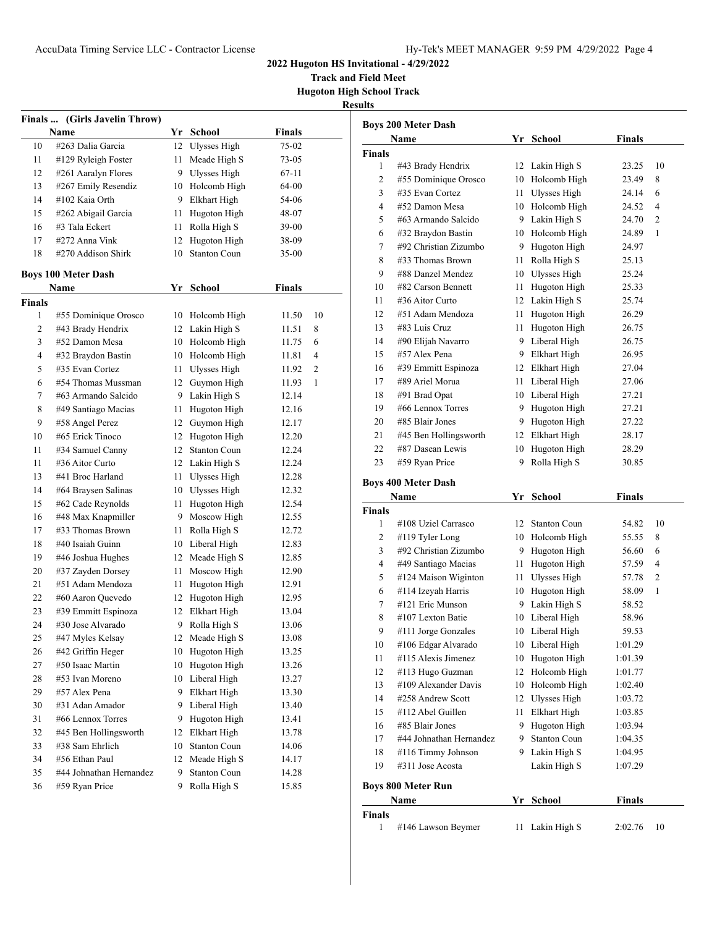**Track and Field Meet Hugoton High School Track**

| r<br>ш<br>۰<br>۰<br>-,<br>ш |
|-----------------------------|
|                             |

| Finals  (Girls Javelin Throw) |                                       |    |                             |               |    |  |
|-------------------------------|---------------------------------------|----|-----------------------------|---------------|----|--|
|                               | Name                                  |    | Yr School                   | <b>Finals</b> |    |  |
| 10                            | #263 Dalia Garcia                     | 12 | <b>Ulysses High</b>         | 75-02         |    |  |
| 11                            | #129 Ryleigh Foster                   | 11 | Meade High S                | 73-05         |    |  |
| 12                            | #261 Aaralyn Flores                   | 9. | Ulysses High                | 67-11         |    |  |
| 13                            | #267 Emily Resendiz                   | 10 | Holcomb High                | 64-00         |    |  |
| 14                            | #102 Kaia Orth                        | 9. | Elkhart High                | 54-06         |    |  |
| 15                            | #262 Abigail Garcia                   | 11 | Hugoton High                | 48-07         |    |  |
| 16                            | #3 Tala Eckert                        | 11 | Rolla High S                | 39-00         |    |  |
| 17                            | #272 Anna Vink                        | 12 | Hugoton High                | 38-09         |    |  |
| 18                            | #270 Addison Shirk                    | 10 | Stanton Coun                | $35-00$       |    |  |
|                               | <b>Boys 100 Meter Dash</b>            |    |                             |               |    |  |
|                               | Name                                  | Yr | School                      | <b>Finals</b> |    |  |
|                               |                                       |    |                             |               |    |  |
| Finals<br>1                   | #55 Dominique Orosco                  |    | 10 Holcomb High             | 11.50         | 10 |  |
| 2                             | #43 Brady Hendrix                     |    | 12 Lakin High S             | 11.51         | 8  |  |
| 3                             | #52 Damon Mesa                        |    | Holcomb High                |               |    |  |
|                               |                                       | 10 |                             | 11.75         | 6  |  |
| 4                             | #32 Braydon Bastin<br>#35 Evan Cortez | 10 | Holcomb High                | 11.81         | 4  |  |
| 5                             | #54 Thomas Mussman                    | 11 | Ulysses High<br>Guymon High | 11.92         | 2  |  |
| 6                             |                                       | 12 |                             | 11.93         | 1  |  |
| 7                             | #63 Armando Salcido                   | 9. | Lakin High S                | 12.14         |    |  |
| 8                             | #49 Santiago Macias                   | 11 | Hugoton High                | 12.16         |    |  |
| 9                             | #58 Angel Perez                       | 12 | Guymon High                 | 12.17         |    |  |
| 10                            | #65 Erick Tinoco                      | 12 | Hugoton High                | 12.20         |    |  |
| 11                            | #34 Samuel Canny                      | 12 | <b>Stanton Coun</b>         | 12.24         |    |  |
| 11                            | #36 Aitor Curto                       | 12 | Lakin High S                | 12.24         |    |  |
| 13                            | #41 Broc Harland                      | 11 | Ulysses High                | 12.28         |    |  |
| 14                            | #64 Braysen Salinas                   |    | 10 Ulysses High             | 12.32         |    |  |
| 15                            | #62 Cade Reynolds                     | 11 | Hugoton High                | 12.54         |    |  |
| 16                            | #48 Max Knapmiller                    | 9. | Moscow High                 | 12.55         |    |  |
| 17                            | #33 Thomas Brown                      | 11 | Rolla High S                | 12.72         |    |  |
| 18                            | #40 Isaiah Guinn                      | 10 | Liberal High                | 12.83         |    |  |
| 19                            | #46 Joshua Hughes                     | 12 | Meade High S                | 12.85         |    |  |
| 20                            | #37 Zayden Dorsey                     | 11 | Moscow High                 | 12.90         |    |  |
| 21                            | #51 Adam Mendoza                      | 11 | Hugoton High                | 12.91         |    |  |
| 22                            | #60 Aaron Quevedo                     | 12 | Hugoton High                | 12.95         |    |  |
| 23                            | #39 Emmitt Espinoza                   | 12 | Elkhart High                | 13.04         |    |  |
| 24                            | #30 Jose Alvarado                     | 9. | Rolla High S                | 13.06         |    |  |
| 25                            | #47 Myles Kelsay                      |    | 12 Meade High S             | 13.08         |    |  |
| 26                            | #42 Griffin Heger                     | 10 | Hugoton High                | 13.25         |    |  |
| 27                            | #50 Isaac Martin                      | 10 | Hugoton High                | 13.26         |    |  |
| 28                            | #53 Ivan Moreno                       | 10 | Liberal High                | 13.27         |    |  |
| 29                            | #57 Alex Pena                         | 9  | Elkhart High                | 13.30         |    |  |
| 30                            | #31 Adan Amador                       | 9  | Liberal High                | 13.40         |    |  |
| 31                            | #66 Lennox Torres                     | 9  | Hugoton High                | 13.41         |    |  |
| 32                            | #45 Ben Hollingsworth                 | 12 | Elkhart High                | 13.78         |    |  |
| 33                            | #38 Sam Ehrlich                       | 10 | <b>Stanton Coun</b>         | 14.06         |    |  |
| 34                            | #56 Ethan Paul                        | 12 | Meade High S                | 14.17         |    |  |
| 35                            | #44 Johnathan Hernandez               | 9  | <b>Stanton Coun</b>         | 14.28         |    |  |
| 36                            | #59 Ryan Price                        | 9. | Rolla High S                | 15.85         |    |  |

|               | Name                                          |         | Yr School                          | <b>Finals</b>      |                |
|---------------|-----------------------------------------------|---------|------------------------------------|--------------------|----------------|
| <b>Finals</b> |                                               |         |                                    |                    |                |
| 1             | #43 Brady Hendrix                             |         | 12 Lakin High S                    | 23.25              | 10             |
| 2             | #55 Dominique Orosco                          |         | 10 Holcomb High                    | 23.49              | 8              |
| 3             | #35 Evan Cortez                               |         | 11 Ulysses High                    | 24.14              | 6              |
| 4             | #52 Damon Mesa                                |         | 10 Holcomb High                    | 24.52              | 4              |
| 5             | #63 Armando Salcido                           |         | 9 Lakin High S                     | 24.70              | $\overline{2}$ |
| 6             | #32 Braydon Bastin                            |         | 10 Holcomb High                    | 24.89              | 1              |
| 7             | #92 Christian Zizumbo                         |         | 9 Hugoton High                     | 24.97              |                |
| 8             | #33 Thomas Brown                              | 11      | Rolla High S                       | 25.13              |                |
| 9             | #88 Danzel Mendez                             |         | 10 Ulysses High                    | 25.24              |                |
| 10            | #82 Carson Bennett                            | 11 -    | Hugoton High                       | 25.33              |                |
| 11            | #36 Aitor Curto                               |         | 12 Lakin High S                    | 25.74              |                |
| 12            | #51 Adam Mendoza                              | 11      | Hugoton High                       | 26.29              |                |
|               | #83 Luis Cruz                                 |         |                                    |                    |                |
| 13<br>14      | #90 Elijah Navarro                            | 11<br>9 | Hugoton High<br>Liberal High       | 26.75<br>26.75     |                |
| 15            | #57 Alex Pena                                 |         | 9 Elkhart High                     | 26.95              |                |
|               |                                               |         |                                    |                    |                |
| 16            | #39 Emmitt Espinoza<br>#89 Ariel Morua        |         | 12 Elkhart High                    | 27.04              |                |
| 17            |                                               |         | 11 Liberal High                    | 27.06              |                |
| 18            | #91 Brad Opat                                 |         | 10 Liberal High                    | 27.21              |                |
| 19            | #66 Lennox Torres                             |         | 9 Hugoton High                     | 27.21              |                |
| 20            | #85 Blair Jones                               |         | 9 Hugoton High                     | 27.22              |                |
| 21            | #45 Ben Hollingsworth                         |         | 12 Elkhart High                    | 28.17              |                |
| 22            | #87 Dasean Lewis                              |         | 10 Hugoton High                    | 28.29              |                |
|               |                                               |         |                                    |                    |                |
| 23            | #59 Ryan Price                                | 9       | Rolla High S                       | 30.85              |                |
|               | <b>Boys 400 Meter Dash</b>                    |         |                                    |                    |                |
|               | Name                                          |         | Yr School                          | <b>Finals</b>      |                |
| <b>Finals</b> |                                               |         |                                    |                    |                |
| 1             | #108 Uziel Carrasco                           | 12      | <b>Stanton Coun</b>                | 54.82              | 10             |
| 2             | #119 Tyler Long                               |         | 10 Holcomb High                    | 55.55              | 8              |
| 3             | #92 Christian Zizumbo                         |         | 9 Hugoton High                     | 56.60              | 6              |
| 4             | #49 Santiago Macias                           |         | 11 Hugoton High                    | 57.59              | 4              |
| 5             | #124 Maison Wiginton                          |         | 11 Ulysses High                    | 57.78              | 2              |
| 6             | #114 Izeyah Harris                            |         | 10 Hugoton High                    | 58.09              | 1              |
| 7             | #121 Eric Munson                              |         | 9 Lakin High S                     | 58.52              |                |
| 8             | #107 Lexton Batie                             |         | 10 Liberal High                    | 58.96              |                |
| 9             |                                               |         | 10 Liberal High                    | 59.53              |                |
| 10            | #111 Jorge Gonzales                           |         |                                    |                    |                |
| 11            | #106 Edgar Alvarado<br>#115 Alexis Jimenez    |         | 10 Liberal High<br>10 Hugoton High | 1:01.29<br>1:01.39 |                |
| 12            |                                               | 12      |                                    |                    |                |
|               | #113 Hugo Guzman<br>#109 Alexander Davis      |         | Holcomb High                       | 1:01.77            |                |
| 13            | #258 Andrew Scott                             | 10      | Holcomb High                       | 1:02.40            |                |
| 14            |                                               | 12      | Ulysses High                       | 1:03.72            |                |
| 15            | #112 Abel Guillen                             | 11      | Elkhart High                       | 1:03.85            |                |
| 16            | #85 Blair Jones                               | 9       | Hugoton High                       | 1:03.94            |                |
| 17<br>18      | #44 Johnathan Hernandez<br>#116 Timmy Johnson | 9       | Stanton Coun<br>9 Lakin High S     | 1:04.35<br>1:04.95 |                |

## **Boys 800 Meter Run**

|        | <b>Name</b>        | Yr School       | <b>Finals</b> |     |
|--------|--------------------|-----------------|---------------|-----|
| Finals |                    |                 |               |     |
|        | #146 Lawson Beymer | 11 Lakin High S | 2:02.76       | -10 |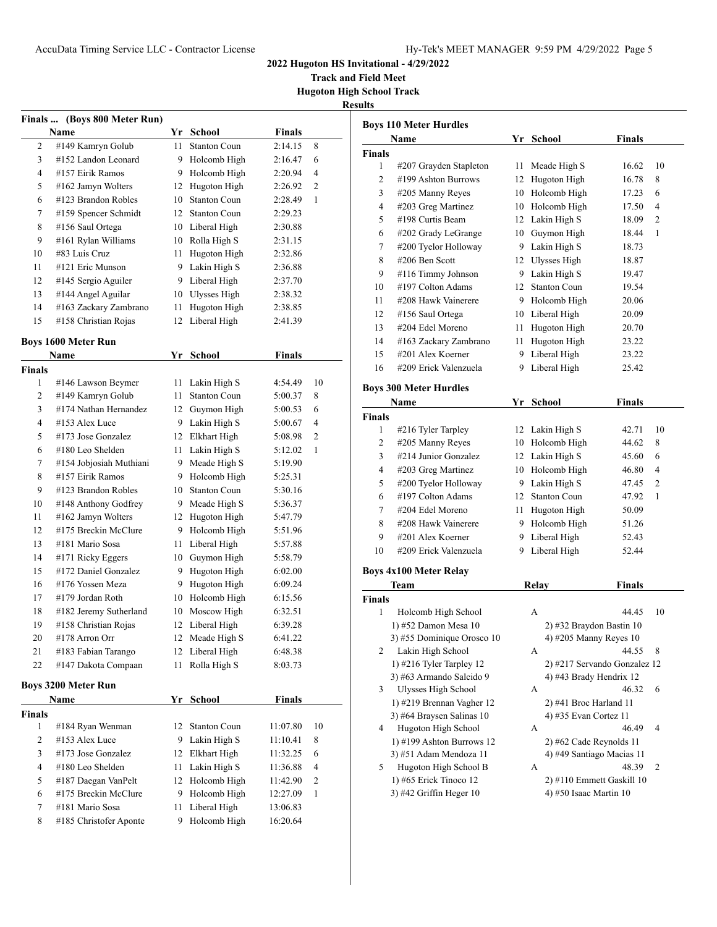**Track and Field Meet Hugoton High School Track**

#### **Results**

|               | Finals  (Boys 800 Meter Run) |    |                     |               |    |
|---------------|------------------------------|----|---------------------|---------------|----|
|               | Name                         |    | Yr School           | Finals        |    |
| 2             | #149 Kamryn Golub            | 11 | <b>Stanton Coun</b> | 2:14.15       | 8  |
| 3             | #152 Landon Leonard          | 9. | Holcomb High        | 2:16.47       | 6  |
| 4             | #157 Eirik Ramos             | 9. | Holcomb High        | 2:20.94       | 4  |
| 5             | #162 Jamyn Wolters           | 12 | Hugoton High        | 2:26.92       | 2  |
| 6             | #123 Brandon Robles          | 10 | <b>Stanton Coun</b> | 2:28.49       | 1  |
| 7             | #159 Spencer Schmidt         | 12 | <b>Stanton Coun</b> | 2:29.23       |    |
| 8             | #156 Saul Ortega             |    | 10 Liberal High     | 2:30.88       |    |
| 9             | #161 Rylan Williams          | 10 | Rolla High S        | 2:31.15       |    |
| 10            | #83 Luis Cruz                | 11 | Hugoton High        | 2:32.86       |    |
| 11            | #121 Eric Munson             | 9  | Lakin High S        | 2:36.88       |    |
| 12            | #145 Sergio Aguiler          | 9  | Liberal High        | 2:37.70       |    |
| 13            | #144 Angel Aguilar           | 10 | Ulysses High        | 2:38.32       |    |
| 14            | #163 Zackary Zambrano        | 11 | Hugoton High        | 2:38.85       |    |
| 15            | #158 Christian Rojas         | 12 | Liberal High        | 2:41.39       |    |
|               | <b>Boys 1600 Meter Run</b>   |    |                     |               |    |
|               | Name                         | Yr | <b>School</b>       | <b>Finals</b> |    |
| <b>Finals</b> |                              |    |                     |               |    |
| 1             | #146 Lawson Beymer           | 11 | Lakin High S        | 4:54.49       | 10 |
| 2             | #149 Kamryn Golub            | 11 | <b>Stanton Coun</b> | 5:00.37       | 8  |
| 3             | #174 Nathan Hernandez        | 12 | Guymon High         | 5:00.53       | 6  |
| 4             | #153 Alex Luce               | 9. | Lakin High S        | 5:00.67       | 4  |
| 5             | #173 Jose Gonzalez           |    | 12 Elkhart High     | 5:08.98       | 2  |
| 6             | #180 Leo Shelden             | 11 | Lakin High S        | 5:12.02       | 1  |
| 7             | #154 Jobjosiah Muthiani      | 9. | Meade High S        | 5:19.90       |    |
| 8             | #157 Eirik Ramos             |    | 9 Holcomb High      | 5:25.31       |    |
| 9             | #123 Brandon Robles          | 10 | <b>Stanton Coun</b> | 5:30.16       |    |
| 10            | #148 Anthony Godfrey         |    | 9 Meade High S      | 5:36.37       |    |
| 11            | #162 Jamyn Wolters           |    | 12 Hugoton High     | 5:47.79       |    |
| 12            | #175 Breckin McClure         | 9. | Holcomb High        | 5:51.96       |    |
| 13            | #181 Mario Sosa              | 11 | Liberal High        | 5:57.88       |    |
| 14            | #171 Ricky Eggers            | 10 | Guymon High         | 5:58.79       |    |
| 15            | #172 Daniel Gonzalez         | 9  | Hugoton High        | 6:02.00       |    |
| 16            | #176 Yossen Meza             | 9  | Hugoton High        | 6:09.24       |    |
| 17            | #179 Jordan Roth             | 10 | Holcomb High        | 6:15.56       |    |
| 18            | #182 Jeremy Sutherland       | 10 | Moscow High         | 6:32.51       |    |
| 19            | #158 Christian Rojas         | 12 | Liberal High        | 6:39.28       |    |
| 20            | #178 Arron Orr               |    | 12 Meade High S     | 6:41.22       |    |
| 21            | #183 Fabian Tarango          | 12 | Liberal High        | 6:48.38       |    |
| 22            | #147 Dakota Compaan          | 11 | Rolla High S        | 8:03.73       |    |
|               | <b>Boys 3200 Meter Run</b>   |    |                     |               |    |
|               | Name                         | Yr | <u>School</u>       | Finals        |    |
| Finals        |                              |    |                     |               |    |
| 1             | #184 Ryan Wenman             | 12 | <b>Stanton Coun</b> | 11:07.80      | 10 |
| 2             | #153 Alex Luce               | 9  | Lakin High S        | 11:10.41      | 8  |

 #173 Jose Gonzalez 12 Elkhart High 11:32.25 6 #180 Leo Shelden 11 Lakin High S 11:36.88 4 #187 Daegan VanPelt 12 Holcomb High 11:42.90 2 #175 Breckin McClure 9 Holcomb High 12:27.09 1 #181 Mario Sosa 11 Liberal High 13:06.83 #185 Christofer Aponte 9 Holcomb High 16:20.64

| <b>Boys 110 Meter Hurdles</b> |                                                        |      |                              |               |    |  |  |
|-------------------------------|--------------------------------------------------------|------|------------------------------|---------------|----|--|--|
|                               | Name                                                   |      | Yr School                    | <b>Finals</b> |    |  |  |
| <b>Finals</b>                 |                                                        |      |                              |               |    |  |  |
| 1                             | #207 Grayden Stapleton                                 |      | 11 Meade High S              | 16.62         | 10 |  |  |
| $\overline{c}$                | #199 Ashton Burrows                                    |      | 12 Hugoton High              | 16.78         | 8  |  |  |
| 3                             | #205 Manny Reyes                                       |      | 10 Holcomb High              | 17.23         | 6  |  |  |
| 4                             | #203 Greg Martinez                                     |      | 10 Holcomb High              | 17.50         | 4  |  |  |
| 5                             | #198 Curtis Beam                                       |      | 12 Lakin High S              | 18.09         | 2  |  |  |
| 6                             | #202 Grady LeGrange                                    |      | 10 Guymon High               | 18.44         | 1  |  |  |
| 7                             | #200 Tyelor Holloway                                   |      | 9 Lakin High S               | 18.73         |    |  |  |
| 8                             | #206 Ben Scott                                         |      | 12 Ulysses High              | 18.87         |    |  |  |
| 9                             | #116 Timmy Johnson                                     |      | 9 Lakin High S               | 19.47         |    |  |  |
| 10                            | #197 Colton Adams                                      |      | 12 Stanton Coun              | 19.54         |    |  |  |
| 11                            | #208 Hawk Vainerere                                    |      | 9 Holcomb High               | 20.06         |    |  |  |
| 12                            | #156 Saul Ortega                                       |      | 10 Liberal High              | 20.09         |    |  |  |
| 13                            | #204 Edel Moreno                                       | 11 - | Hugoton High                 | 20.70         |    |  |  |
| 14                            | #163 Zackary Zambrano                                  |      | 11 Hugoton High              | 23.22         |    |  |  |
| 15                            | #201 Alex Koerner                                      | 9    | Liberal High                 | 23.22         |    |  |  |
| 16                            | #209 Erick Valenzuela                                  | 9    | Liberal High                 | 25.42         |    |  |  |
|                               |                                                        |      |                              |               |    |  |  |
|                               | <b>Boys 300 Meter Hurdles</b>                          |      |                              |               |    |  |  |
|                               | Name                                                   |      | Yr School                    | <b>Finals</b> |    |  |  |
| <b>Finals</b>                 |                                                        |      |                              |               |    |  |  |
| 1                             | #216 Tyler Tarpley                                     |      | 12 Lakin High S              | 42.71         | 10 |  |  |
| 2                             | #205 Manny Reyes                                       |      | 10 Holcomb High              | 44.62         | 8  |  |  |
| 3                             | #214 Junior Gonzalez                                   |      | 12 Lakin High S              | 45.60         | 6  |  |  |
| 4                             | #203 Greg Martinez                                     |      | 10 Holcomb High              | 46.80         | 4  |  |  |
| 5                             | #200 Tyelor Holloway                                   |      | 9 Lakin High S               | 47.45         | 2  |  |  |
| 6                             | #197 Colton Adams                                      |      | 12 Stanton Coun              | 47.92         | 1  |  |  |
| 7                             | #204 Edel Moreno                                       |      | 11 Hugoton High              | 50.09         |    |  |  |
| 8                             | #208 Hawk Vainerere                                    |      | 9 Holcomb High               | 51.26         |    |  |  |
| 9                             | #201 Alex Koerner                                      | 9    | Liberal High                 | 52.43         |    |  |  |
| 10                            | #209 Erick Valenzuela                                  | 9    | Liberal High                 | 52.44         |    |  |  |
|                               |                                                        |      |                              |               |    |  |  |
|                               | <b>Boys 4x100 Meter Relay</b>                          |      |                              |               |    |  |  |
|                               | Team                                                   |      | Relay                        | Finals        |    |  |  |
| <b>Finals</b>                 |                                                        |      |                              |               |    |  |  |
| 1                             | Holcomb High School                                    |      | А                            | 44.45         | 10 |  |  |
|                               | 1) #52 Damon Mesa 10                                   |      | 2) #32 Braydon Bastin 10     |               |    |  |  |
|                               | 3) #55 Dominique Orosco 10                             |      | 4) #205 Manny Reyes 10       |               |    |  |  |
| 2                             | Lakin High School                                      |      | А                            | 44.55         | 8  |  |  |
|                               | 1) #216 Tyler Tarpley 12                               |      | 2) #217 Servando Gonzalez 12 |               |    |  |  |
| 3                             | 3) #63 Armando Salcido 9<br><b>Ulysses High School</b> |      | 4) #43 Brady Hendrix 12<br>А | 46.32         | 6  |  |  |
|                               | 1) #219 Brennan Vagher 12                              |      | 2) #41 Broc Harland 11       |               |    |  |  |
|                               | 3) #64 Braysen Salinas 10                              |      | 4) #35 Evan Cortez 11        |               |    |  |  |
| 4                             | Hugoton High School                                    |      | А                            | 46.49         | 4  |  |  |
|                               | 1) #199 Ashton Burrows 12                              |      | 2) #62 Cade Reynolds 11      |               |    |  |  |
|                               | 3) #51 Adam Mendoza 11                                 |      | 4) #49 Santiago Macias 11    |               |    |  |  |
| 5                             | Hugoton High School B                                  |      | А                            | 48.39         | 2  |  |  |
|                               | 1) #65 Erick Tinoco 12                                 |      | 2) #110 Emmett Gaskill 10    |               |    |  |  |
|                               | 3) #42 Griffin Heger 10                                |      | 4) #50 Isaac Martin 10       |               |    |  |  |
|                               |                                                        |      |                              |               |    |  |  |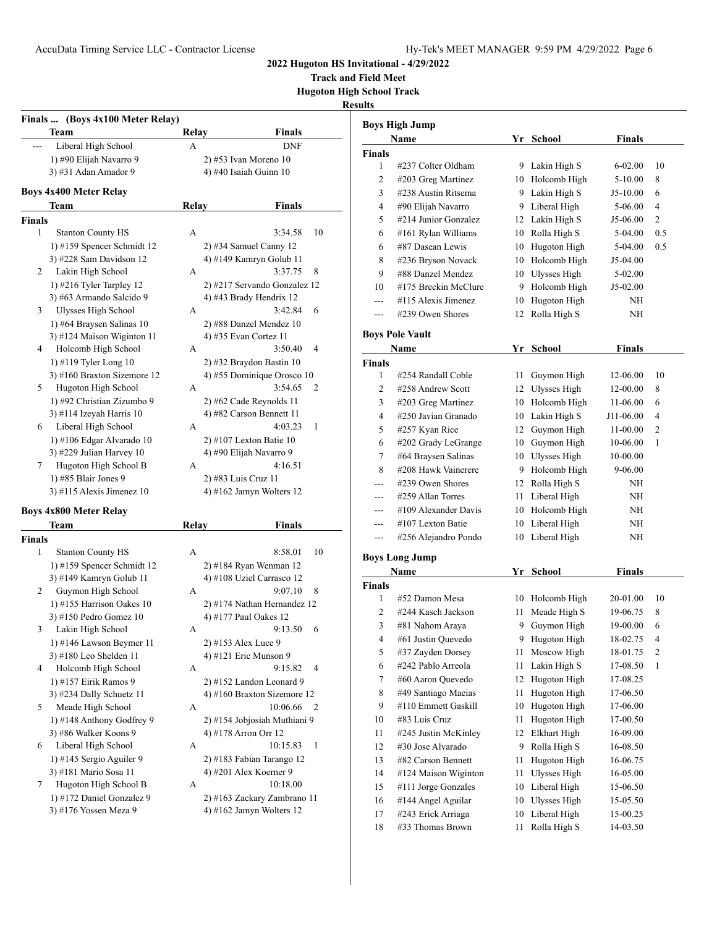**Track and Field Meet Hugoton High School Track**

|             | Finals  (Boys 4x100 Meter Relay) |       |                              |
|-------------|----------------------------------|-------|------------------------------|
|             | Team                             | Relay | Finals                       |
|             | Liberal High School              | А     | <b>DNF</b>                   |
|             | 1) #90 Elijah Navarro 9          |       | 2) #53 Ivan Moreno 10        |
|             | 3) #31 Adan Amador 9             |       | 4) #40 Isaiah Guinn 10       |
|             | <b>Boys 4x400 Meter Relay</b>    |       |                              |
|             | Team                             | Relay | Finals                       |
|             |                                  |       |                              |
| Finals<br>1 |                                  |       | 10                           |
|             | <b>Stanton County HS</b>         | А     | 3:34.58                      |
|             | 1) #159 Spencer Schmidt 12       |       | $2)$ #34 Samuel Canny 12     |
|             | 3) #228 Sam Davidson 12          |       | 4) #149 Kamryn Golub 11      |
| 2           | Lakin High School                | А     | 3:37.75<br>8                 |
|             | 1) #216 Tyler Tarpley 12         |       | 2) #217 Servando Gonzalez 12 |
|             | 3) #63 Armando Salcido 9         |       | 4) #43 Brady Hendrix 12      |
| 3           | <b>Ulysses High School</b>       | А     | 3:42.84<br>6                 |
|             | 1) #64 Braysen Salinas 10        |       | 2) #88 Danzel Mendez 10      |
|             | 3) #124 Maison Wiginton 11       |       | 4) #35 Evan Cortez 11        |
| 4           | Holcomb High School              | A     | 4<br>3:50.40                 |
|             | 1) #119 Tyler Long 10            |       | 2) #32 Braydon Bastin 10     |
|             | 3) #160 Braxton Sizemore 12      |       | 4) #55 Dominique Orosco 10   |
| 5           | Hugoton High School              | А     | 3:54.65<br>2                 |
|             | 1) #92 Christian Zizumbo 9       |       | 2) #62 Cade Reynolds 11      |
|             | 3) #114 Izeyah Harris $10$       |       | 4) #82 Carson Bennett 11     |
| 6           | Liberal High School              | А     | 4:03.23<br>1                 |
|             | 1) #106 Edgar Alvarado 10        |       | 2) #107 Lexton Batie 10      |
|             | 3) #229 Julian Harvey 10         |       | 4) #90 Elijah Navarro 9      |
| 7           | Hugoton High School B            | А     | 4:16.51                      |
|             | 1) #85 Blair Jones 9             |       | 2) #83 Luis Cruz 11          |
|             | 3) #115 Alexis Jimenez 10        |       | 4) #162 Jamyn Wolters $12$   |
|             | <b>Boys 4x800 Meter Relay</b>    |       |                              |
|             | Team                             | Relay | Finals                       |
| Finals      |                                  |       |                              |
| 1           | <b>Stanton County HS</b>         | А     | 10<br>8:58.01                |
|             | 1) #159 Spencer Schmidt 12       |       | 2) #184 Ryan Wenman 12       |
|             | 3) #149 Kamryn Golub 11          |       | 4) #108 Uziel Carrasco 12    |
| 2           | Guymon High School               | А     | 9:07.10<br>8                 |
|             | 1) #155 Harrison Oakes 10        |       | 2) #174 Nathan Hernandez 12  |
|             | 3) #150 Pedro Gomez 10           |       | 4) #177 Paul Oakes 12        |
| 3           | Lakin High School                | А     | 9:13.50<br>6                 |
|             | 1) #146 Lawson Beymer 11         |       | 2) #153 Alex Luce 9          |
|             | 3) #180 Leo Shelden 11           |       | 4) #121 Eric Munson 9        |
| 4           | Holcomb High School              | А     | 9:15.82<br>4                 |
|             | 1) #157 Eirik Ramos 9            |       | 2) #152 Landon Leonard 9     |
|             | 3) #234 Dally Schuetz 11         |       | 4) #160 Braxton Sizemore 12  |
| 5           | Meade High School                | А     | 10:06.66<br>2                |
|             | 1) #148 Anthony Godfrey 9        |       | 2) #154 Jobjosiah Muthiani 9 |
|             | 3) #86 Walker Koons 9            |       | 4) #178 Arron Orr 12         |
| 6           | Liberal High School              | А     | 10:15.83<br>1                |
|             | 1) #145 Sergio Aguiler 9         |       | 2) #183 Fabian Tarango 12    |
|             | 3) #181 Mario Sosa 11            |       | 4) #201 Alex Koerner 9       |
| 7           | Hugoton High School B            | А     | 10:18.00                     |
|             | 1) #172 Daniel Gonzalez 9        |       | 2) #163 Zackary Zambrano 11  |
|             | 3) #176 Yossen Meza 9            |       | 4) #162 Jamyn Wolters 12     |
|             |                                  |       |                              |

|                | Boys High Jump         |    |                 |               |                |
|----------------|------------------------|----|-----------------|---------------|----------------|
|                | Name                   |    | Yr School       | Finals        |                |
| Finals         |                        |    |                 |               |                |
| 1              | #237 Colter Oldham     |    | 9 Lakin High S  | 6-02.00       | 10             |
| 2              | #203 Greg Martinez     |    | 10 Holcomb High | 5-10.00       | 8              |
| 3              | #238 Austin Ritsema    |    | 9 Lakin High S  | $J5-10.00$    | 6              |
| 4              | #90 Elijah Navarro     |    | 9 Liberal High  | 5-06.00       | 4              |
| 5              | #214 Junior Gonzalez   |    | 12 Lakin High S | J5-06.00      | 2              |
| 6              | #161 Rylan Williams    |    | 10 Rolla High S | 5-04.00       | 0.5            |
| 6              | #87 Dasean Lewis       | 10 | Hugoton High    | 5-04.00       | 0.5            |
| 8              | #236 Bryson Novack     | 10 | Holcomb High    | J5-04.00      |                |
| 9              | #88 Danzel Mendez      | 10 | Ulysses High    | 5-02.00       |                |
| 10             | #175 Breckin McClure   | 9  | Holcomb High    | $J5-02.00$    |                |
| $---$          | #115 Alexis Jimenez    | 10 | Hugoton High    | ΝH            |                |
| ---            | #239 Owen Shores       | 12 | Rolla High S    | NΗ            |                |
|                | <b>Boys Pole Vault</b> |    |                 |               |                |
|                | Name                   | Yr | School          | <b>Finals</b> |                |
| Finals         |                        |    |                 |               |                |
| 1              | #254 Randall Coble     | 11 | Guymon High     | 12-06.00      | 10             |
| 2              | #258 Andrew Scott      |    | 12 Ulysses High | 12-00.00      | 8              |
| 3              | #203 Greg Martinez     |    | 10 Holcomb High | 11-06.00      | 6              |
| 4              | #250 Javian Granado    |    | 10 Lakin High S | J11-06.00     | 4              |
| 5              | #257 Kyan Rice         | 12 | Guymon High     | 11-00.00      | $\overline{2}$ |
| 6              | #202 Grady LeGrange    |    | 10 Guymon High  | 10-06.00      | 1              |
| 7              | #64 Braysen Salinas    | 10 | Ulysses High    | 10-00.00      |                |
| 8              | #208 Hawk Vainerere    | 9  | Holcomb High    | 9-06.00       |                |
| ---            | #239 Owen Shores       |    | 12 Rolla High S | ΝH            |                |
| ---            | #259 Allan Torres      | 11 | Liberal High    | NH            |                |
|                | #109 Alexander Davis   |    | 10 Holcomb High | NH            |                |
|                | #107 Lexton Batie      |    | 10 Liberal High | NH            |                |
| ---            | #256 Alejandro Pondo   | 10 | Liberal High    | NH            |                |
|                | Boys Long Jump         |    |                 |               |                |
|                | Name                   |    | Yr School       | <b>Finals</b> |                |
| Finals         |                        |    |                 |               |                |
| 1              | #52 Damon Mesa         | 10 | Holcomb High    | 20-01.00      | 10             |
| 2              | #244 Kasch Jackson     | 11 | Meade High S    | 19-06.75      | 8              |
| 3              | #81 Nahom Araya        | 9  | Guymon High     | 19-00.00      | 6              |
| $\overline{4}$ | #61 Justin Quevedo     | 9  | Hugoton High    | 18-02.75      | 4              |
| 5              | #37 Zayden Dorsey      | 11 | Moscow High     | 18-01.75      | $\mathbf{2}$   |
| 6              | #242 Pablo Arreola     | 11 | Lakin High S    | 17-08.50      | 1              |
| 7              | #60 Aaron Quevedo      | 12 | Hugoton High    | 17-08.25      |                |
| 8              | #49 Santiago Macias    | 11 | Hugoton High    | 17-06.50      |                |
| 9              | #110 Emmett Gaskill    | 10 | Hugoton High    | 17-06.00      |                |
| 10             | #83 Luis Cruz          | 11 | Hugoton High    | 17-00.50      |                |
| 11             | #245 Justin McKinley   | 12 | Elkhart High    | 16-09.00      |                |
| 12             | #30 Jose Alvarado      | 9  | Rolla High S    | 16-08.50      |                |
| 13             | #82 Carson Bennett     | 11 | Hugoton High    | 16-06.75      |                |
| 14             | #124 Maison Wiginton   | 11 | Ulysses High    | 16-05.00      |                |
| 15             | #111 Jorge Gonzales    | 10 | Liberal High    | 15-06.50      |                |
| 16             | #144 Angel Aguilar     | 10 | Ulysses High    | 15-05.50      |                |
| 17             | #243 Erick Arriaga     | 10 | Liberal High    | 15-00.25      |                |
| 18             | #33 Thomas Brown       | 11 | Rolla High S    | 14-03.50      |                |
|                |                        |    |                 |               |                |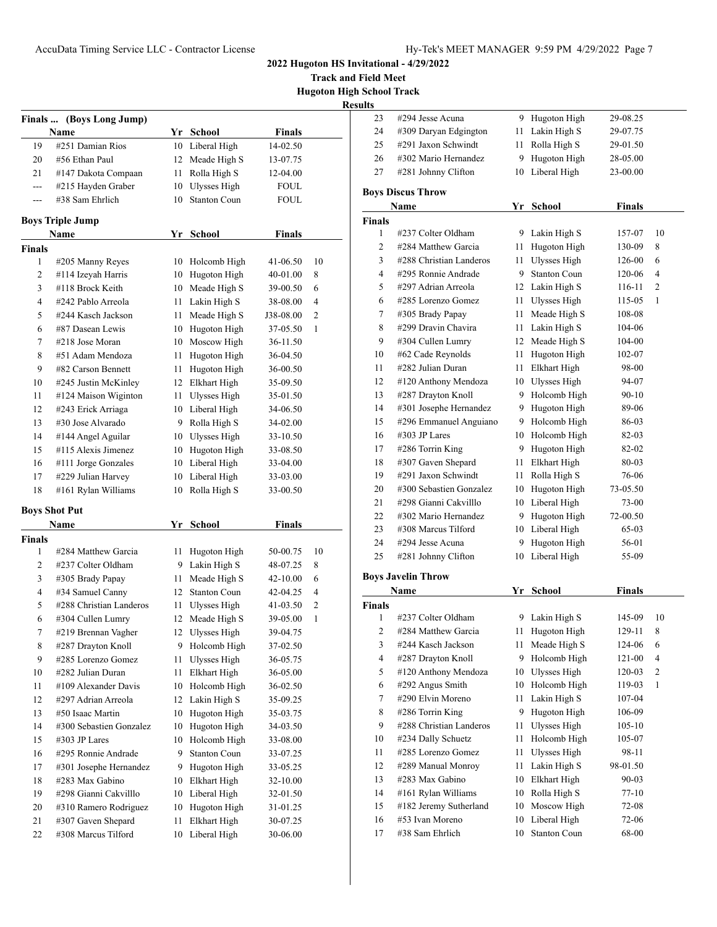**Track and Field Meet Hugoton High School Track**

|                         | Finals  (Boys Long Jump) |    |                     |               |    |
|-------------------------|--------------------------|----|---------------------|---------------|----|
|                         | Name                     |    | Yr School           | <b>Finals</b> |    |
| 19                      | #251 Damian Rios         | 10 | Liberal High        | 14-02.50      |    |
| 20                      | #56 Ethan Paul           | 12 | Meade High S        | 13-07.75      |    |
| 21                      | #147 Dakota Compaan      | 11 | Rolla High S        | 12-04.00      |    |
| ---                     | #215 Hayden Graber       | 10 | Ulysses High        | FOUL          |    |
| $---$                   | #38 Sam Ehrlich          | 10 | <b>Stanton Coun</b> | FOUL          |    |
| <b>Boys Triple Jump</b> |                          |    |                     |               |    |
|                         | Name                     |    | Yr School           | <b>Finals</b> |    |
| <b>Finals</b>           |                          |    |                     |               |    |
| 1                       | #205 Manny Reyes         | 10 | Holcomb High        | 41-06.50      | 10 |
| 2                       | #114 Izeyah Harris       | 10 | Hugoton High        | 40-01.00      | 8  |
| 3                       | #118 Brock Keith         | 10 | Meade High S        | 39-00.50      | 6  |
| 4                       | #242 Pablo Arreola       | 11 | Lakin High S        | 38-08.00      | 4  |
| 5                       | #244 Kasch Jackson       | 11 | Meade High S        | J38-08.00     | 2  |
| 6                       | #87 Dasean Lewis         | 10 | Hugoton High        | 37-05.50      | 1  |
| 7                       | #218 Jose Moran          | 10 | Moscow High         | 36-11.50      |    |
| 8                       | #51 Adam Mendoza         | 11 | Hugoton High        | 36-04.50      |    |
| 9                       | #82 Carson Bennett       | 11 | Hugoton High        | 36-00.50      |    |
| 10                      | #245 Justin McKinley     | 12 | Elkhart High        | 35-09.50      |    |
| 11                      | #124 Maison Wiginton     | 11 | Ulysses High        | 35-01.50      |    |
| 12                      | #243 Erick Arriaga       | 10 | Liberal High        | 34-06.50      |    |
| 13                      | #30 Jose Alvarado        | 9  | Rolla High S        | 34-02.00      |    |
| 14                      | #144 Angel Aguilar       | 10 | Ulysses High        | 33-10.50      |    |
| 15                      | #115 Alexis Jimenez      | 10 | Hugoton High        | 33-08.50      |    |
| 16                      | #111 Jorge Gonzales      | 10 | Liberal High        | 33-04.00      |    |
| 17                      | #229 Julian Harvey       | 10 | Liberal High        | 33-03.00      |    |
| 18                      | #161 Rylan Williams      | 10 | Rolla High S        | 33-00.50      |    |
|                         | <b>Boys Shot Put</b>     |    |                     |               |    |
|                         | Name                     | Yr | School              | Finals        |    |
| Finals                  |                          |    |                     |               |    |
| 1                       | #284 Matthew Garcia      | 11 | Hugoton High        | 50-00.75      | 10 |
| 2                       | #237 Colter Oldham       | 9  | Lakin High S        | 48-07.25      | 8  |
| 3                       | #305 Brady Papay         | 11 | Meade High S        | 42-10.00      | 6  |
| 4                       | #34 Samuel Canny         | 12 | <b>Stanton Coun</b> | 42-04.25      | 4  |
| 5                       | #288 Christian Landeros  | 11 | Ulysses High        | 41-03.50      | 2  |
| 6                       | #304 Cullen Lumry        | 12 | Meade High S        | 39-05.00      | 1  |
| 7                       | #219 Brennan Vagher      |    | 12 Ulysses High     | 39-04.75      |    |
| 8                       | #287 Drayton Knoll       | 9  | Holcomb High        | 37-02.50      |    |
| 9                       | #285 Lorenzo Gomez       | 11 | <b>Ulysses High</b> | 36-05.75      |    |
| 10                      | #282 Julian Duran        | 11 | <b>Elkhart High</b> | 36-05.00      |    |
| 11                      | #109 Alexander Davis     | 10 | Holcomb High        | 36-02.50      |    |
| 12                      | #297 Adrian Arreola      | 12 | Lakin High S        | 35-09.25      |    |
| 13                      | #50 Isaac Martin         | 10 | Hugoton High        | 35-03.75      |    |
| 14                      | #300 Sebastien Gonzalez  | 10 | Hugoton High        | 34-03.50      |    |
| 15                      | #303 JP Lares            | 10 | Holcomb High        | 33-08.00      |    |
| 16                      | #295 Ronnie Andrade      | 9  | <b>Stanton Coun</b> | 33-07.25      |    |
| 17                      | #301 Josephe Hernandez   | 9  | Hugoton High        | 33-05.25      |    |
| 18                      | #283 Max Gabino          | 10 | Elkhart High        | 32-10.00      |    |
| 19                      | #298 Gianni Cakvilllo    | 10 | Liberal High        | 32-01.50      |    |
| 20                      | #310 Ramero Rodriguez    | 10 | Hugoton High        | 31-01.25      |    |
| 21                      | #307 Gaven Shepard       | 11 | Elkhart High        | 30-07.25      |    |
| 22                      | #308 Marcus Tilford      | 10 | Liberal High        | 30-06.00      |    |

| uns            |                           |        |                     |               |                |
|----------------|---------------------------|--------|---------------------|---------------|----------------|
| 23             | #294 Jesse Acuna          |        | 9 Hugoton High      | 29-08.25      |                |
| 24             | #309 Daryan Edgington     | 11     | Lakin High S        | 29-07.75      |                |
| 25             | #291 Jaxon Schwindt       | 11     | Rolla High S        | 29-01.50      |                |
| 26             | #302 Mario Hernandez      | 9      | Hugoton High        | 28-05.00      |                |
| 27             | #281 Johnny Clifton       | 10     | Liberal High        | 23-00.00      |                |
|                |                           |        |                     |               |                |
|                | <b>Boys Discus Throw</b>  |        |                     |               |                |
|                | Name                      |        | Yr School           | <b>Finals</b> |                |
| Finals         |                           |        |                     |               |                |
| 1              | #237 Colter Oldham        |        | 9 Lakin High S      | 157-07        | 10             |
| 2              | #284 Matthew Garcia       | 11     | Hugoton High        | 130-09        | 8              |
| 3              | #288 Christian Landeros   | 11     | Ulysses High        | 126-00        | 6              |
| $\overline{4}$ | #295 Ronnie Andrade       |        | 9 Stanton Coun      | 120-06        | 4              |
| 5              | #297 Adrian Arreola       |        | 12 Lakin High S     | 116-11        | $\overline{c}$ |
| 6              | #285 Lorenzo Gomez        | 11     | Ulysses High        | 115-05        | 1              |
| 7              | #305 Brady Papay          | 11     | Meade High S        | 108-08        |                |
| 8              | #299 Dravin Chavira       | 11     | Lakin High S        | 104-06        |                |
| 9              | #304 Cullen Lumry         | 12     | Meade High S        | 104-00        |                |
| 10             | #62 Cade Reynolds         | 11     | Hugoton High        | 102-07        |                |
| 11             | #282 Julian Duran         | 11     | Elkhart High        | 98-00         |                |
| 12             | #120 Anthony Mendoza      | 10     | Ulysses High        | 94-07         |                |
| 13             | #287 Drayton Knoll        | 9.     | Holcomb High        | 90-10         |                |
| 14             | #301 Josephe Hernandez    | 9      | Hugoton High        | 89-06         |                |
| 15             | #296 Emmanuel Anguiano    |        | 9 Holcomb High      | 86-03         |                |
| 16             | #303 JP Lares             |        | 10 Holcomb High     | 82-03         |                |
| 17             | #286 Torrin King          |        | 9 Hugoton High      | 82-02         |                |
| 18             | #307 Gaven Shepard        | 11     | Elkhart High        | 80-03         |                |
| 19             | #291 Jaxon Schwindt       | 11     | Rolla High S        | 76-06         |                |
| 20             | #300 Sebastien Gonzalez   |        | 10 Hugoton High     | 73-05.50      |                |
| 21             | #298 Gianni Cakvilllo     |        | 10 Liberal High     | 73-00         |                |
| 22             | #302 Mario Hernandez      | 9.     | Hugoton High        | 72-00.50      |                |
| 23             | #308 Marcus Tilford       |        | 10 Liberal High     | 65-03         |                |
| 24             | #294 Jesse Acuna          | 9      | Hugoton High        | 56-01         |                |
| 25             | #281 Johnny Clifton       | 10     | Liberal High        | 55-09         |                |
|                | <b>Boys Javelin Throw</b> |        |                     |               |                |
|                | Name                      |        | Yr School           | <b>Finals</b> |                |
| Finals         |                           |        |                     |               |                |
| 1              | #237 Colter Oldham        |        | 9 Lakin High S      | 145-09        | 10             |
| $\overline{c}$ | #284 Matthew Garcia       | $11\,$ | Hugoton High        | 129-11        | 8              |
| 3              | #244 Kasch Jackson        | 11     | Meade High S        | 124-06        | 6              |
| 4              | #287 Drayton Knoll        | 9      | Holcomb High        | 121-00        | 4              |
| 5              | #120 Anthony Mendoza      | 10     | <b>Ulysses High</b> | 120-03        | 2              |
| 6              | #292 Angus Smith          | 10     | Holcomb High        | 119-03        | 1              |
| 7              | #290 Elvin Moreno         | 11     | Lakin High S        | 107-04        |                |
| 8              | #286 Torrin King          | 9      | Hugoton High        | 106-09        |                |
| 9              | #288 Christian Landeros   | 11     | <b>Ulysses High</b> | 105-10        |                |
| 10             | #234 Dally Schuetz        | 11     | Holcomb High        | 105-07        |                |
| 11             | #285 Lorenzo Gomez        | 11     | <b>Ulysses High</b> | 98-11         |                |
| 12             | #289 Manual Monroy        | 11     | Lakin High S        | 98-01.50      |                |
| 13             | #283 Max Gabino           | 10     | Elkhart High        | 90-03         |                |
| 14             | #161 Rylan Williams       | 10     | Rolla High S        | 77-10         |                |
| 15             | #182 Jeremy Sutherland    | 10     | Moscow High         | 72-08         |                |
| 16             | #53 Ivan Moreno           | 10     | Liberal High        | 72-06         |                |
| 17             | #38 Sam Ehrlich           | 10     | <b>Stanton Coun</b> | 68-00         |                |
|                |                           |        |                     |               |                |